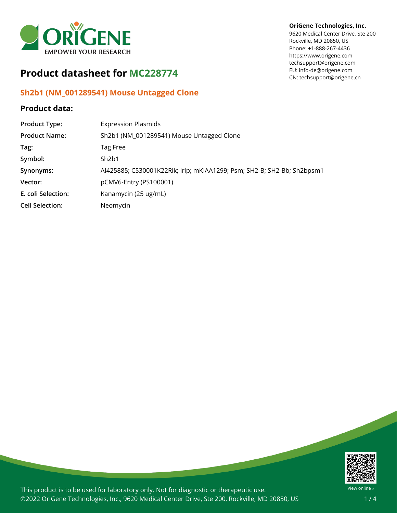

# **Product datasheet for MC228774**

## **Sh2b1 (NM\_001289541) Mouse Untagged Clone**

### **Product data:**

#### **OriGene Technologies, Inc.**

9620 Medical Center Drive, Ste 200 Rockville, MD 20850, US Phone: +1-888-267-4436 https://www.origene.com techsupport@origene.com EU: info-de@origene.com CN: techsupport@origene.cn

| <b>Product Type:</b>   | <b>Expression Plasmids</b>                                             |
|------------------------|------------------------------------------------------------------------|
| <b>Product Name:</b>   | Sh2b1 (NM_001289541) Mouse Untagged Clone                              |
| Tag:                   | Tag Free                                                               |
| Symbol:                | Sh2b1                                                                  |
| Synonyms:              | AI425885; C530001K22Rik; Irip; mKIAA1299; Psm; SH2-B; SH2-Bb; Sh2bpsm1 |
| Vector:                | pCMV6-Entry (PS100001)                                                 |
| E. coli Selection:     | Kanamycin (25 ug/mL)                                                   |
| <b>Cell Selection:</b> | Neomycin                                                               |



This product is to be used for laboratory only. Not for diagnostic or therapeutic use. ©2022 OriGene Technologies, Inc., 9620 Medical Center Drive, Ste 200, Rockville, MD 20850, US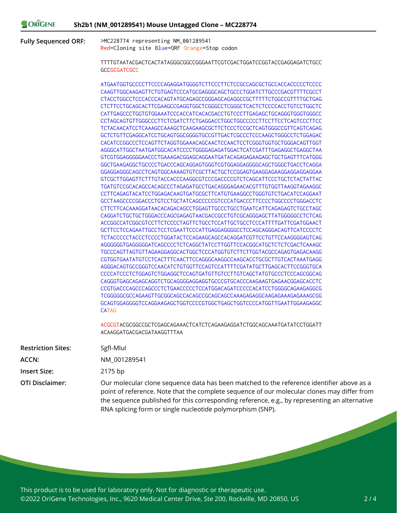| NE | Sh2b1 (NM_001289541) Mouse Untagged Clone - MC228774 |  |  |  |
|----|------------------------------------------------------|--|--|--|
|----|------------------------------------------------------|--|--|--|

**Fully Sequenced ORF:** >MC228774 representing NM\_001289541 Red=Cloning site Blue=ORF Orange=Stop codon

ORIGEN

TTTTGTAATACGACTCACTATAGGGCGGCCGGGAATTCGTCGACTGGATCCGGTACCGAGGAGATCTGCC **GCCGCGATCGCC** 

ATGAATGGTGCCCCTTCCCCAGAGGATGGGGTCTTCCCTTCTCCGCCAGCGCTGCCACCACCCCCTCCCC CAAGTTGGCAAGAGTTCTGTGAGTCCCATGCGAGGGCAGCTGCCCTGGATCTTGCCCGACGTTTTCGCCT CTACCTGGCCTCCCACCCACAGTATGCAGAGCCGGGAGCAGAGGCCGCTTTTTCTGGCCGTTTTGCTGAG CTCTTCCTGCAGCACTTCGAAGCCGAGGTGGCTCGGGCCTCGGGCTCACTCTCCCCACCTGTCCTGGCTC CATTGAGCCCTGGTGTGGAAATCCCACCATCACACGACCTGTCCCTTGAGAGCTGCAGGGTGGGTGGGCC CCTAGCAGTGTTGGGCCCTTCTCGATCTTCTGAGGACCTGGCTGGCCCCCTTCCTTCCTCAGTCCCTTCC TCTACAACATCCTCAAAGCCAAAGCTCAAGAAGCGCTTCTCCCTCCGCTCAGTGGGCCGTTCAGTCAGAG GCTCTGTTCGAGGCATCCTGCAGTGGCGGGGTGCCGTTGACTCGCCCTCCCAAGCTGGGCCTCTGGAGAC CACATCCGGCCCTCCAGTTCTAGGTGGAAACAGCAACTCCAACTCCTCGGGTGGTGCTGGGACAGTTGGT AGGGCATTGGCTAATGATGGCACATCCCCTGGGGAGAGATGGACTCATCGATTTGAGAGGCTGAGGCTAA GTCGTGGAGGGGGAACCCTGAAAGACGGAGCAGGAATGATACAGAGAGAAGAGCTGCTGAGTTTCATGGG GGCTGAAGAGGCTGCCCCTGACCCAGCAGGAGTGGGTCGTGGAGGAGGGGCAGCTGGGCTGACCTCAGGA GGAGGAGGGCAGCCTCAGTGGCAAAAGTGTCGCTTACTGCTCCGGAGTGAAGGAGAAGGAGGAGGAGGAA GTCGCTTGGAGTTCTTTGTACCACCCAAGGCGTCCCGACCCCGTCTCAGCATTCCCTGCTCTACTATTAC TGATGTCCGCACAGCCACAGCCCTAGAGATGCCTGACAGGGAGAACACGTTTGTGGTTAAGGTAGAAGGC CCTTCAGAGTACATCCTGGAGACAAGTGATGCGCTTCATGTGAAGGCCTGGGTGTCTGACATCCAGGAAT GCCTAAGCCCCGGACCCTGTCCTGCTATCAGCCCCCGTCCCATGACCCTTCCCCTGGCCCCTGGGACCTC CTTCTTCACAAAGGATAACACAGACAGCCTGGAGTTGCCCTGCCTGAATCATTCAGAGAGTCTGCCTAGC CAGGATCTGCTGCTGGGACCCAGCGAGAGTAACGACCGCCTGTCGCAGGGAGCTTATGGGGGCCTCTCAG ACCGGCCATCGGCGTCCTTCTCCCCTAGTTCTGCCTCCATTGCTGCCTCCCATTTTGATTCGATGGAACT GCTTCCTCCAGAATTGCCTCCTCGAATTCCCATTGAGGAGGGGCCTCCAGCAGGGACAGTTCATCCCCTC TCTACCCCCTACCCTCCCCTGGATACTCCAGAAGCAGCCACAGGATCGTTCCTGTTCCAAGGGGAGTCAG AGGGGGGTGAGGGGGATCAGCCCCTCTCAGGCTATCCTTGGTTCCACGGCATGCTCTCTCGACTCAAAGC TGCCCAGTTAGTGTTAGAAGGAGGCACTGGCTCCCATGGTGTCTTCTTGGTACGCCAGAGTGAGACAAGG CGTGGTGAATATGTCCTCACTTTCAACTTCCAGGGCAAGGCCAAGCACCTGCGCTTGTCACTAAATGAGG AGGGACAGTGCCGGGTCCAACATCTGTGGTTCCAGTCCATTTTCGATATGCTTGAGCACTTCCGGGTGCA CCCCATCCCTCTGGAGTCTGGAGGCTCCAGTGATGTTGTCCTTGTCAGCTATGTGCCCTCCCAGCGGCAG CAGGGTGAGCAGAGCAGGTCTGCAGGGGAGGAGGTGCCCGTGCACCCAAGAAGTGAGAACGGAGCACCTC CCGTGACCCAGCCCAGCCCTCTGAACCCCCTCCATGGACAGATCCCCCACATCCTGGGGCAGAAGAGGCG TCGGGGGCGCCAGAAGTTGCGGCAGCCACAGCCGCAGCAGCCAAAGAGAGGCAAGAGAAAGAGAAAGCGG GCAGTGGAGGGGTCCAGGAAGAGCTGGTCCCCGTGGCTGAGCTGGTCCCCATGGTTGAATTGGAAGAGGC CATAG

ACGCGTACGCGGCCGCTCGAGCAGAAACTCATCTCAGAAGAGGATCTGGCAGCAAATGATATCCTGGATT ACAAGGATGACGACGATAAGGTTTAA

| <b>Restriction Sites:</b> | Sgfl-Mlul                                                                                                                                                                                                                                                                                                                                               |
|---------------------------|---------------------------------------------------------------------------------------------------------------------------------------------------------------------------------------------------------------------------------------------------------------------------------------------------------------------------------------------------------|
| ACCN:                     | NM 001289541                                                                                                                                                                                                                                                                                                                                            |
| <b>Insert Size:</b>       | 2175 bp                                                                                                                                                                                                                                                                                                                                                 |
| <b>OTI Disclaimer:</b>    | Our molecular clone sequence data has been matched to the reference identifier above as a<br>point of reference. Note that the complete sequence of our molecular clones may differ from<br>the sequence published for this corresponding reference, e.g., by representing an alternative<br>RNA splicing form or single nucleotide polymorphism (SNP). |

This product is to be used for laboratory only. Not for diagnostic or therapeutic use. ©2022 OriGene Technologies, Inc., 9620 Medical Center Drive, Ste 200, Rockville, MD 20850, US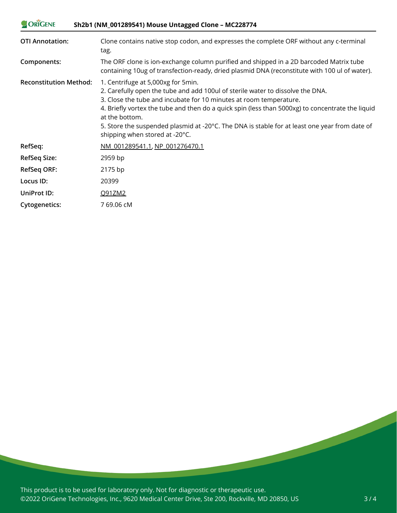| ORIGENE                       | Sh2b1 (NM_001289541) Mouse Untagged Clone - MC228774                                                                                                                                                                                                                                                                                                                                                                                                          |  |  |
|-------------------------------|---------------------------------------------------------------------------------------------------------------------------------------------------------------------------------------------------------------------------------------------------------------------------------------------------------------------------------------------------------------------------------------------------------------------------------------------------------------|--|--|
| <b>OTI Annotation:</b>        | Clone contains native stop codon, and expresses the complete ORF without any c-terminal<br>tag.                                                                                                                                                                                                                                                                                                                                                               |  |  |
| Components:                   | The ORF clone is ion-exchange column purified and shipped in a 2D barcoded Matrix tube<br>containing 10ug of transfection-ready, dried plasmid DNA (reconstitute with 100 ul of water).                                                                                                                                                                                                                                                                       |  |  |
| <b>Reconstitution Method:</b> | 1. Centrifuge at 5,000xg for 5min.<br>2. Carefully open the tube and add 100ul of sterile water to dissolve the DNA.<br>3. Close the tube and incubate for 10 minutes at room temperature.<br>4. Briefly vortex the tube and then do a quick spin (less than 5000xg) to concentrate the liquid<br>at the bottom.<br>5. Store the suspended plasmid at -20 $\degree$ C. The DNA is stable for at least one year from date of<br>shipping when stored at -20°C. |  |  |
| RefSeq:                       | NM 001289541.1, NP 001276470.1                                                                                                                                                                                                                                                                                                                                                                                                                                |  |  |
| <b>RefSeq Size:</b>           | 2959 bp                                                                                                                                                                                                                                                                                                                                                                                                                                                       |  |  |
| <b>RefSeq ORF:</b>            | 2175 bp                                                                                                                                                                                                                                                                                                                                                                                                                                                       |  |  |
| Locus ID:                     | 20399                                                                                                                                                                                                                                                                                                                                                                                                                                                         |  |  |
| UniProt ID:                   | Q91ZM2                                                                                                                                                                                                                                                                                                                                                                                                                                                        |  |  |
| <b>Cytogenetics:</b>          | 7 69.06 cM                                                                                                                                                                                                                                                                                                                                                                                                                                                    |  |  |

This product is to be used for laboratory only. Not for diagnostic or therapeutic use. ©2022 OriGene Technologies, Inc., 9620 Medical Center Drive, Ste 200, Rockville, MD 20850, US